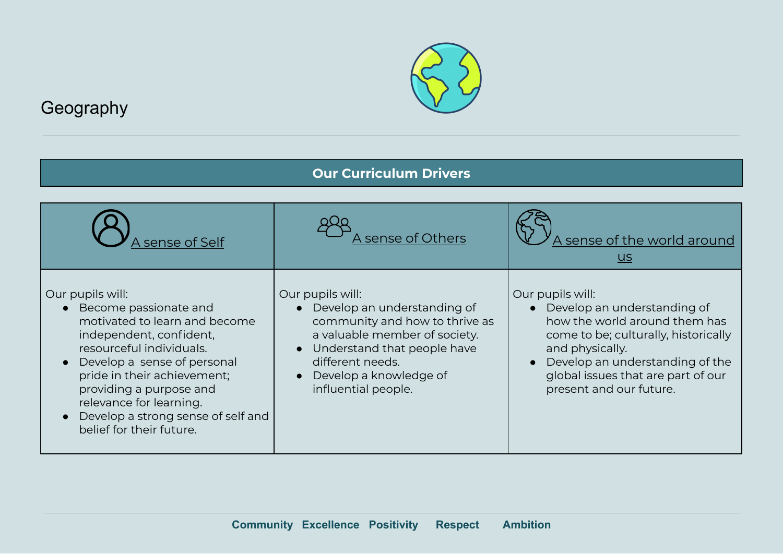

## Geography

## **Our Curriculum Drivers**

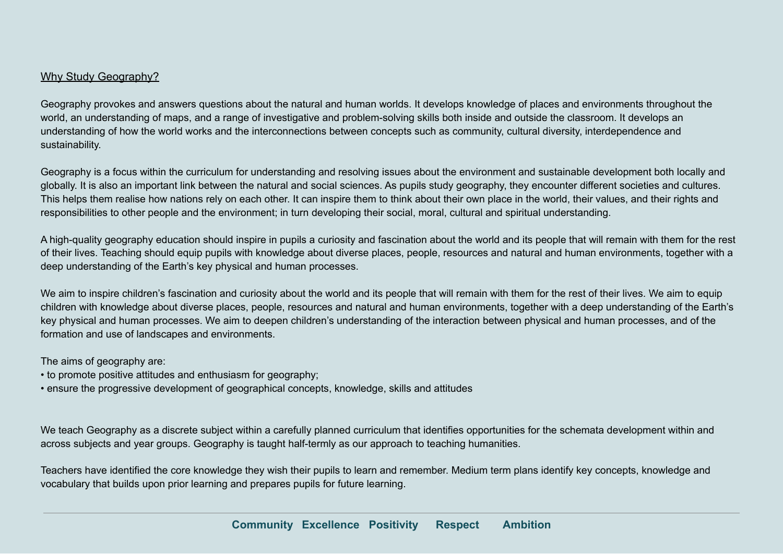## Why Study Geography?

Geography provokes and answers questions about the natural and human worlds. It develops knowledge of places and environments throughout the world, an understanding of maps, and a range of investigative and problem-solving skills both inside and outside the classroom. It develops an understanding of how the world works and the interconnections between concepts such as community, cultural diversity, interdependence and sustainability.

Geography is a focus within the curriculum for understanding and resolving issues about the environment and sustainable development both locally and globally. It is also an important link between the natural and social sciences. As pupils study geography, they encounter different societies and cultures. This helps them realise how nations rely on each other. It can inspire them to think about their own place in the world, their values, and their rights and responsibilities to other people and the environment; in turn developing their social, moral, cultural and spiritual understanding.

A high-quality geography education should inspire in pupils a curiosity and fascination about the world and its people that will remain with them for the rest of their lives. Teaching should equip pupils with knowledge about diverse places, people, resources and natural and human environments, together with a deep understanding of the Earth's key physical and human processes.

We aim to inspire children's fascination and curiosity about the world and its people that will remain with them for the rest of their lives. We aim to equip children with knowledge about diverse places, people, resources and natural and human environments, together with a deep understanding of the Earth's key physical and human processes. We aim to deepen children's understanding of the interaction between physical and human processes, and of the formation and use of landscapes and environments.

The aims of geography are:

- to promote positive attitudes and enthusiasm for geography;
- ensure the progressive development of geographical concepts, knowledge, skills and attitudes

We teach Geography as a discrete subject within a carefully planned curriculum that identifies opportunities for the schemata development within and across subjects and year groups. Geography is taught half-termly as our approach to teaching humanities.

Teachers have identified the core knowledge they wish their pupils to learn and remember. Medium term plans identify key concepts, knowledge and vocabulary that builds upon prior learning and prepares pupils for future learning.